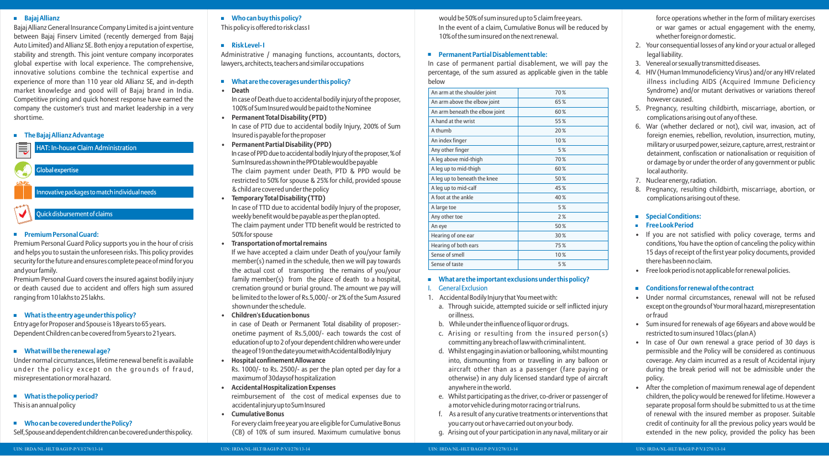### **Bajaj Allianz**

Bajaj Allianz General Insurance Company Limited is a joint venture between Bajaj Finserv Limited (recently demerged from Bajaj Auto Limited) and Allianz SE. Both enjoy a reputation of expertise, stability and strength. This joint venture company incorporates global expertise with local experience. The comprehensive, innovative solutions combine the technical expertise and experience of more than 110 year old Allianz SE, and in-depth market knowledge and good will of Bajaj brand in India. Competitive pricing and quick honest response have earned the company the customer's trust and market leadership in a very short time.

#### **The Bajaj Allianz Advantage**



#### **Premium Personal Guard:**

Premium Personal Guard Policy supports you in the hour of crisis and helps you to sustain the unforeseen risks. This policy provides security for the future and ensures complete peace of mind for you and your family.

Premium Personal Guard covers the insured against bodily injury or death caused due to accident and offers high sum assured ranging from 10 lakhs to 25 lakhs.

# **What is the entry age under this policy?**

Entry age for Proposer and Spouse is 18years to 65 years. Dependent Children can be covered from 5years to 21years.

# **What will be the renewal age?**

Under normal circumstances, lifetime renewal benefit is available under the policy except on the grounds of fraud, misrepresentation or moral hazard.

**What is the policy period?**

This is an annual policy

# **Who can be covered under the Policy?**

Self, Spouse and dependent children can be covered under this policy.

# **Who can buy this policy?**

This policy is offered to risk class I

# **Risk Level- I**

Administrative / managing functions, accountants, doctors, lawyers, architects, teachers and similar occupations

# **What are the coverages under this policy?**

**• Death** 

In case of Death due to accidental bodily injury of the proposer, 100% of Sum Insured would be paid to the Nominee

- **Permanent Total Disability (PTD)** In case of PTD due to accidental bodily Injury, 200% of Sum Insured is payable for the proposer
- **Permanent Partial Disability (PPD)**  In case of PPD due to accidental bodily Injury of the proposer, % of Sum Insured as shown in the PPD table would be payable The claim payment under Death, PTD & PPD would be restricted to 50% for spouse & 25% for child, provided spouse
- & child are covered under the policy **• Temporary Total Disability (TTD)**  In case of TTD due to accidental bodily Injury of the proposer, weekly benefit would be payable as per the plan opted. The claim payment under TTD benefit would be restricted to 50% for spouse
- **Transportation of mortal remains**

If we have accepted a claim under Death of you/your family member(s) named in the schedule, then we will pay towards the actual cost of transporting the remains of you/your family member(s) from the place of death to a hospital, cremation ground or burial ground. The amount we pay will be limited to the lower of Rs.5,000/- or 2% of the Sum Assured shown under the schedule.

**• Children's Education bonus**

in case of Death or Permanent Total disability of proposer: onetime payment of Rs.5,000/- each towards the cost of education of up to 2 of your dependent children who were under theage of 19 on the date you met with Accidental Bodily Injury

- **Hospital confinement Allowance** Rs. 1000/- to Rs. 2500/- as per the plan opted per day for a maximum of 30daysof hospitalization
- **Accidental Hospitalization Expenses** reimbursement of the cost of medical expenses due to
- accidentalinjuryuptoSumInsured **• Cumulative Bonus** For every claim free year you are eligible for Cumulative Bonus

(CB) of 10% of sum insured. Maximum cumulative bonus

would be 50% of sum insured up to 5 claim free years. In the event of a claim, Cumulative Bonus will be reduced by 10% of the sum insured on the next renewal.

# **Permanent Partial Disablement table:**

In case of permanent partial disablement, we will pay the percentage, of the sum assured as applicable given in the table below

| An arm at the shoulder joint   | 70% |
|--------------------------------|-----|
| An arm above the elbow joint   | 65% |
| An arm beneath the elbow joint | 60% |
| A hand at the wrist            | 55% |
| A thumh                        | 20% |
| An index finger                | 10% |
| Any other finger               | 5%  |
| A leg above mid-thigh          | 70% |
| A leg up to mid-thigh          | 60% |
| A leg up to beneath the knee   | 50% |
| A leg up to mid-calf           | 45% |
| A foot at the ankle            | 40% |
| A large toe                    | 5%  |
| Any other toe                  | 2%  |
| An eye                         | 50% |
| Hearing of one ear             | 30% |
| Hearing of both ears           | 75% |
| Sense of smell                 | 10% |
| Sense of taste                 | 5%  |
|                                |     |

# **What are the important exclusions under this policy?**

- **General Exclusion**
- 1. Accidental Bodily Injury that You meet with:
	- a. Through suicide, attempted suicide or self inflicted injury or illness.
	- b. While under the influence of liquor or drugs.
	- c. Arising or resulting from the insured person(s) committing any breach of law with criminal intent.
	- d. Whilst engaging in aviation or ballooning, whilst mounting into, dismounting from or travelling in any balloon or aircraft other than as a passenger (fare paying or otherwise) in any duly licensed standard type of aircraft anywhere in the world.
	- e. Whilst participating as the driver, co-driver or passenger of a motor vehicle during motor racing or trial runs.
	- f. As a result of any curative treatments or interventions that you carry out or have carried out on your body.
	- g. Arising out of your participation in any naval, military or air

force operations whether in the form of military exercises or war games or actual engagement with the enemy, whether foreign or domestic.

- 2. Your consequential losses of any kind or your actual or alleged legal liability.
- 3. Venereal or sexually transmitted diseases.
- 4. HIV (Human Immunodeficiency Virus) and/or any HIV related illness including AIDS (Acquired Immune Deficiency Syndrome) and/or mutant derivatives or variations thereof however caused.
- 5. Pregnancy, resulting childbirth, miscarriage, abortion, or complications arising out of any of these.
- 6. War (whether declared or not), civil war, invasion, act of foreign enemies, rebellion, revolution, insurrection, mutiny, military or usurped power, seizure, capture, arrest, restraint or detainment, confiscation or nationalisation or requisition of or damage by or under the order of any government or public local authority.
- 7. Nuclear energy, radiation.
- 8. Pregnancy, resulting childbirth, miscarriage, abortion, or complications arising out of these.

# **Special Conditions:**

- **Free Look Period**
- If you are not satisfied with policy coverage, terms and conditions, You have the option of canceling the policy within 15 days of receipt of the first year policy documents, provided there has been no claim.
- Free look period is not applicable for renewal policies.

# **Conditions for renewal of the contract**

- Under normal circumstances, renewal will not be refused except on the grounds of Your moral hazard, misrepresentation or fraud
- Sum insured for renewals of age 66years and above would be restricted to sum insured 10lacs (plan A)
- In case of Our own renewal a grace period of 30 days is permissible and the Policy will be considered as continuous coverage. Any claim incurred as a result of Accidental injury during the break period will not be admissible under the policy.
- After the completion of maximum renewal age of dependent children, the policy would be renewed for lifetime. However a separate proposal form should be submitted to us at the time of renewal with the insured member as proposer. Suitable credit of continuity for all the previous policy years would be extended in the new policy, provided the policy has been